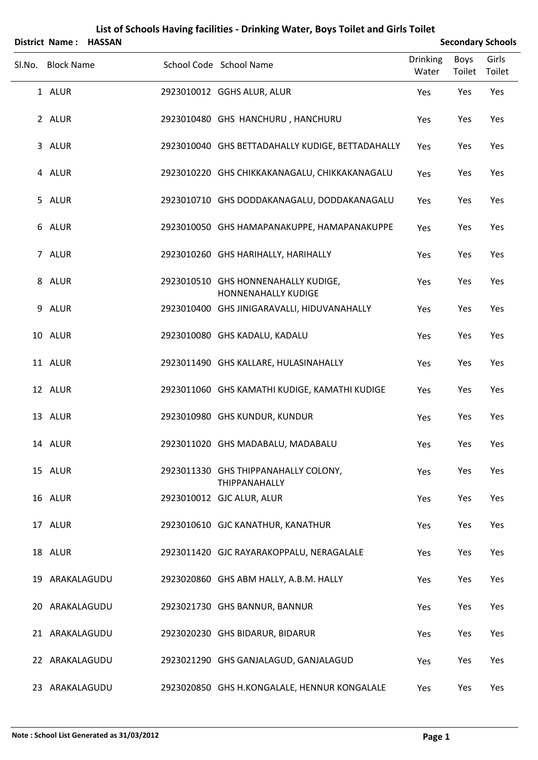|        | District Name: HASSAN |  |                                                                   |                          | <b>Secondary Schools</b> |                 |
|--------|-----------------------|--|-------------------------------------------------------------------|--------------------------|--------------------------|-----------------|
| SI.No. | <b>Block Name</b>     |  | School Code School Name                                           | <b>Drinking</b><br>Water | Boys<br>Toilet           | Girls<br>Toilet |
|        | 1 ALUR                |  | 2923010012 GGHS ALUR, ALUR                                        | Yes                      | Yes                      | Yes             |
|        | 2 ALUR                |  | 2923010480 GHS HANCHURU, HANCHURU                                 | Yes                      | Yes                      | Yes             |
|        | 3 ALUR                |  | 2923010040 GHS BETTADAHALLY KUDIGE, BETTADAHALLY                  | Yes                      | Yes                      | Yes             |
|        | 4 ALUR                |  | 2923010220 GHS CHIKKAKANAGALU, CHIKKAKANAGALU                     | Yes                      | Yes                      | Yes             |
|        | 5 ALUR                |  | 2923010710 GHS DODDAKANAGALU, DODDAKANAGALU                       | Yes                      | Yes                      | Yes             |
|        | 6 ALUR                |  | 2923010050 GHS HAMAPANAKUPPE, HAMAPANAKUPPE                       | Yes                      | Yes                      | Yes             |
|        | 7 ALUR                |  | 2923010260 GHS HARIHALLY, HARIHALLY                               | Yes                      | Yes                      | Yes             |
|        | 8 ALUR                |  | 2923010510 GHS HONNENAHALLY KUDIGE,<br><b>HONNENAHALLY KUDIGE</b> | Yes                      | Yes                      | Yes             |
|        | 9 ALUR                |  | 2923010400 GHS JINIGARAVALLI, HIDUVANAHALLY                       | Yes                      | Yes                      | Yes             |
|        | 10 ALUR               |  | 2923010080 GHS KADALU, KADALU                                     | Yes                      | Yes                      | Yes             |
|        | 11 ALUR               |  | 2923011490 GHS KALLARE, HULASINAHALLY                             | Yes                      | Yes                      | Yes             |
|        | 12 ALUR               |  | 2923011060 GHS KAMATHI KUDIGE, KAMATHI KUDIGE                     | Yes                      | Yes                      | Yes             |
|        | 13 ALUR               |  | 2923010980 GHS KUNDUR, KUNDUR                                     | Yes                      | Yes                      | Yes             |
|        | 14 ALUR               |  | 2923011020 GHS MADABALU, MADABALU                                 | Yes                      | Yes                      | Yes             |
|        | 15 ALUR               |  | 2923011330 GHS THIPPANAHALLY COLONY,<br>THIPPANAHALLY             | Yes                      | Yes                      | Yes             |
|        | 16 ALUR               |  | 2923010012 GJC ALUR, ALUR                                         | Yes                      | Yes                      | Yes             |
|        | 17 ALUR               |  | 2923010610 GJC KANATHUR, KANATHUR                                 | Yes                      | Yes                      | Yes             |
|        | 18 ALUR               |  | 2923011420 GJC RAYARAKOPPALU, NERAGALALE                          | Yes                      | Yes                      | Yes             |
|        | 19 ARAKALAGUDU        |  | 2923020860 GHS ABM HALLY, A.B.M. HALLY                            | Yes                      | Yes                      | Yes             |
|        | 20 ARAKALAGUDU        |  | 2923021730 GHS BANNUR, BANNUR                                     | Yes                      | Yes                      | Yes             |
|        | 21 ARAKALAGUDU        |  | 2923020230 GHS BIDARUR, BIDARUR                                   | Yes                      | Yes                      | Yes             |
|        | 22 ARAKALAGUDU        |  | 2923021290 GHS GANJALAGUD, GANJALAGUD                             | Yes                      | Yes                      | Yes             |
|        | 23 ARAKALAGUDU        |  | 2923020850 GHS H.KONGALALE, HENNUR KONGALALE                      | Yes                      | Yes                      | Yes             |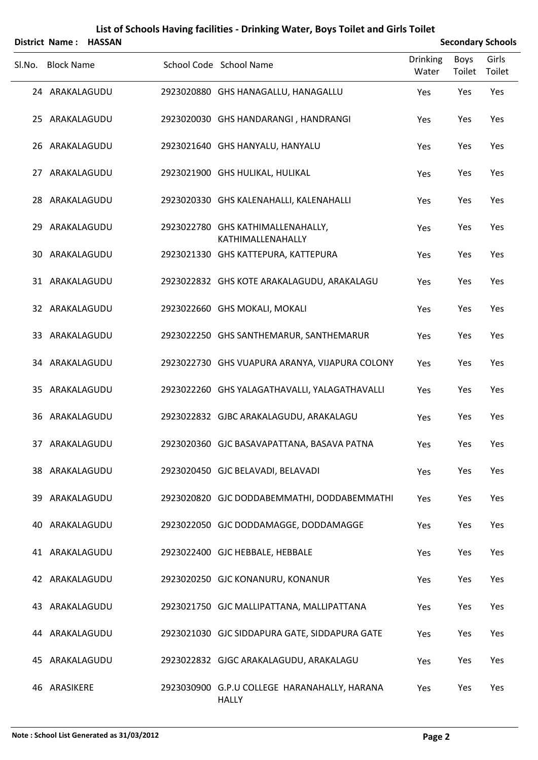|        | District Name: HASSAN |  |                                                              | <b>Secondary Schools</b> |                |                 |
|--------|-----------------------|--|--------------------------------------------------------------|--------------------------|----------------|-----------------|
| SI.No. | <b>Block Name</b>     |  | School Code School Name                                      | <b>Drinking</b><br>Water | Boys<br>Toilet | Girls<br>Toilet |
|        | 24 ARAKALAGUDU        |  | 2923020880 GHS HANAGALLU, HANAGALLU                          | Yes                      | Yes            | Yes             |
|        | 25 ARAKALAGUDU        |  | 2923020030 GHS HANDARANGI, HANDRANGI                         | Yes                      | Yes            | Yes             |
|        | 26 ARAKALAGUDU        |  | 2923021640 GHS HANYALU, HANYALU                              | Yes                      | Yes            | Yes             |
|        | 27 ARAKALAGUDU        |  | 2923021900 GHS HULIKAL, HULIKAL                              | Yes                      | Yes            | Yes             |
|        | 28 ARAKALAGUDU        |  | 2923020330 GHS KALENAHALLI, KALENAHALLI                      | Yes                      | Yes            | Yes             |
|        | 29 ARAKALAGUDU        |  | 2923022780 GHS KATHIMALLENAHALLY,<br>KATHIMALLENAHALLY       | Yes                      | Yes            | Yes             |
| 30     | ARAKALAGUDU           |  | 2923021330 GHS KATTEPURA, KATTEPURA                          | Yes                      | Yes            | Yes             |
|        | 31 ARAKALAGUDU        |  | 2923022832 GHS KOTE ARAKALAGUDU, ARAKALAGU                   | Yes                      | Yes            | Yes             |
|        | 32 ARAKALAGUDU        |  | 2923022660 GHS MOKALI, MOKALI                                | Yes                      | Yes            | Yes             |
|        | 33 ARAKALAGUDU        |  | 2923022250 GHS SANTHEMARUR, SANTHEMARUR                      | Yes                      | Yes            | Yes             |
|        | 34 ARAKALAGUDU        |  | 2923022730 GHS VUAPURA ARANYA, VIJAPURA COLONY               | Yes                      | Yes            | Yes             |
|        | 35 ARAKALAGUDU        |  | 2923022260 GHS YALAGATHAVALLI, YALAGATHAVALLI                | Yes                      | Yes            | Yes             |
|        | 36 ARAKALAGUDU        |  | 2923022832 GJBC ARAKALAGUDU, ARAKALAGU                       | Yes                      | Yes            | Yes             |
|        | 37 ARAKALAGUDU        |  | 2923020360 GJC BASAVAPATTANA, BASAVA PATNA                   | Yes                      | Yes            | Yes             |
|        | 38 ARAKALAGUDU        |  | 2923020450 GJC BELAVADI, BELAVADI                            | Yes                      | Yes            | Yes             |
|        | 39 ARAKALAGUDU        |  | 2923020820 GJC DODDABEMMATHI, DODDABEMMATHI                  | Yes                      | Yes            | Yes             |
|        | 40 ARAKALAGUDU        |  | 2923022050 GJC DODDAMAGGE, DODDAMAGGE                        | Yes                      | Yes            | Yes             |
|        | 41 ARAKALAGUDU        |  | 2923022400 GJC HEBBALE, HEBBALE                              | Yes                      | Yes            | Yes             |
|        | 42 ARAKALAGUDU        |  | 2923020250 GJC KONANURU, KONANUR                             | Yes                      | Yes            | Yes             |
|        | 43 ARAKALAGUDU        |  | 2923021750 GJC MALLIPATTANA, MALLIPATTANA                    | Yes                      | Yes            | Yes             |
|        | 44 ARAKALAGUDU        |  | 2923021030 GJC SIDDAPURA GATE, SIDDAPURA GATE                | Yes                      | Yes            | Yes             |
|        | 45 ARAKALAGUDU        |  | 2923022832 GJGC ARAKALAGUDU, ARAKALAGU                       | Yes                      | Yes            | Yes             |
|        | 46 ARASIKERE          |  | 2923030900 G.P.U COLLEGE HARANAHALLY, HARANA<br><b>HALLY</b> | Yes                      | Yes            | Yes             |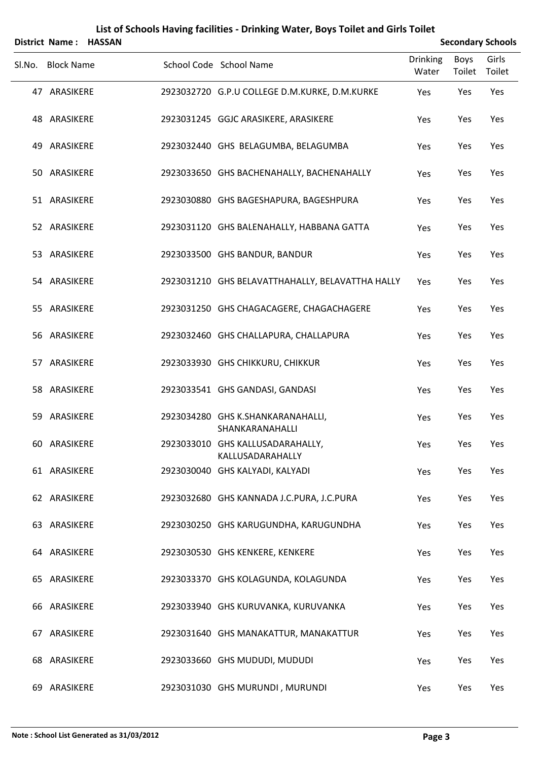|        |                   | District Name: HASSAN |                                                      | <b>Secondary Schools</b> |                       |                 |
|--------|-------------------|-----------------------|------------------------------------------------------|--------------------------|-----------------------|-----------------|
| SI.No. | <b>Block Name</b> |                       | School Code School Name                              | <b>Drinking</b><br>Water | <b>Boys</b><br>Toilet | Girls<br>Toilet |
|        | 47 ARASIKERE      |                       | 2923032720 G.P.U COLLEGE D.M.KURKE, D.M.KURKE        | Yes                      | Yes                   | Yes             |
|        | 48 ARASIKERE      |                       | 2923031245 GGJC ARASIKERE, ARASIKERE                 | Yes                      | Yes                   | Yes             |
|        | 49 ARASIKERE      |                       | 2923032440 GHS BELAGUMBA, BELAGUMBA                  | Yes                      | Yes                   | Yes             |
|        | 50 ARASIKERE      |                       | 2923033650 GHS BACHENAHALLY, BACHENAHALLY            | Yes                      | Yes                   | Yes             |
|        | 51 ARASIKERE      |                       | 2923030880 GHS BAGESHAPURA, BAGESHPURA               | Yes                      | Yes                   | Yes             |
|        | 52 ARASIKERE      |                       | 2923031120 GHS BALENAHALLY, HABBANA GATTA            | Yes                      | Yes                   | Yes             |
|        | 53 ARASIKERE      |                       | 2923033500 GHS BANDUR, BANDUR                        | Yes                      | Yes                   | Yes             |
|        | 54 ARASIKERE      |                       | 2923031210 GHS BELAVATTHAHALLY, BELAVATTHA HALLY     | Yes                      | Yes                   | Yes             |
|        | 55 ARASIKERE      |                       | 2923031250 GHS CHAGACAGERE, CHAGACHAGERE             | Yes                      | Yes                   | Yes             |
|        | 56 ARASIKERE      |                       | 2923032460 GHS CHALLAPURA, CHALLAPURA                | Yes                      | Yes                   | Yes             |
|        | 57 ARASIKERE      |                       | 2923033930 GHS CHIKKURU, CHIKKUR                     | Yes                      | Yes                   | Yes             |
|        | 58 ARASIKERE      |                       | 2923033541 GHS GANDASI, GANDASI                      | Yes                      | Yes                   | Yes             |
|        | 59 ARASIKERE      |                       | 2923034280 GHS K.SHANKARANAHALLI,<br>SHANKARANAHALLI | Yes                      | Yes                   | Yes             |
|        | 60 ARASIKERE      |                       | 2923033010 GHS KALLUSADARAHALLY,<br>KALLUSADARAHALLY | Yes                      | Yes                   | Yes             |
|        | 61 ARASIKERE      |                       | 2923030040 GHS KALYADI, KALYADI                      | Yes                      | Yes                   | Yes             |
|        | 62 ARASIKERE      |                       | 2923032680 GHS KANNADA J.C.PURA, J.C.PURA            | Yes                      | Yes                   | Yes             |
|        | 63 ARASIKERE      |                       | 2923030250 GHS KARUGUNDHA, KARUGUNDHA                | Yes                      | Yes                   | Yes             |
|        | 64 ARASIKERE      |                       | 2923030530 GHS KENKERE, KENKERE                      | Yes                      | Yes                   | Yes             |
|        | 65 ARASIKERE      |                       | 2923033370 GHS KOLAGUNDA, KOLAGUNDA                  | Yes                      | Yes                   | Yes             |
|        | 66 ARASIKERE      |                       | 2923033940 GHS KURUVANKA, KURUVANKA                  | Yes                      | Yes                   | Yes             |
|        | 67 ARASIKERE      |                       | 2923031640 GHS MANAKATTUR, MANAKATTUR                | Yes                      | Yes                   | Yes             |
|        | 68 ARASIKERE      |                       | 2923033660 GHS MUDUDI, MUDUDI                        | Yes                      | Yes                   | Yes             |
|        | 69 ARASIKERE      |                       | 2923031030 GHS MURUNDI, MURUNDI                      | Yes                      | Yes                   | Yes             |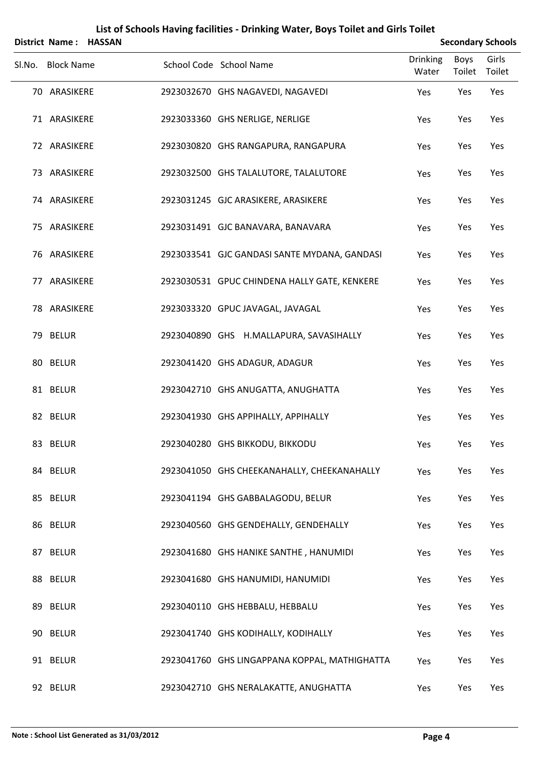|                   | District Name: HASSAN |                                               | <b>Secondary Schools</b> |                |                 |
|-------------------|-----------------------|-----------------------------------------------|--------------------------|----------------|-----------------|
| Sl.No. Block Name |                       | School Code School Name                       | <b>Drinking</b><br>Water | Boys<br>Toilet | Girls<br>Toilet |
| 70 ARASIKERE      |                       | 2923032670 GHS NAGAVEDI, NAGAVEDI             | Yes                      | Yes            | Yes             |
| 71 ARASIKERE      |                       | 2923033360 GHS NERLIGE, NERLIGE               | Yes                      | Yes            | Yes             |
| 72 ARASIKERE      |                       | 2923030820 GHS RANGAPURA, RANGAPURA           | Yes                      | Yes            | Yes             |
| 73 ARASIKERE      |                       | 2923032500 GHS TALALUTORE, TALALUTORE         | Yes                      | Yes            | Yes             |
| 74 ARASIKERE      |                       | 2923031245 GJC ARASIKERE, ARASIKERE           | Yes                      | Yes            | Yes             |
| 75 ARASIKERE      |                       | 2923031491 GJC BANAVARA, BANAVARA             | Yes                      | Yes            | Yes             |
| 76 ARASIKERE      |                       | 2923033541 GJC GANDASI SANTE MYDANA, GANDASI  | Yes                      | Yes            | Yes             |
| 77 ARASIKERE      |                       | 2923030531 GPUC CHINDENA HALLY GATE, KENKERE  | Yes                      | Yes            | Yes             |
| 78 ARASIKERE      |                       | 2923033320 GPUC JAVAGAL, JAVAGAL              | Yes                      | Yes            | Yes             |
| 79 BELUR          |                       | 2923040890 GHS H.MALLAPURA, SAVASIHALLY       | Yes                      | Yes            | Yes             |
| 80 BELUR          |                       | 2923041420 GHS ADAGUR, ADAGUR                 | Yes                      | Yes            | Yes             |
| 81 BELUR          |                       | 2923042710 GHS ANUGATTA, ANUGHATTA            | Yes                      | Yes            | Yes             |
| 82 BELUR          |                       | 2923041930 GHS APPIHALLY, APPIHALLY           | Yes                      | Yes            | Yes             |
| 83 BELUR          |                       | 2923040280 GHS BIKKODU, BIKKODU               | Yes                      | Yes            | Yes             |
| 84 BELUR          |                       | 2923041050 GHS CHEEKANAHALLY, CHEEKANAHALLY   | Yes                      | Yes            | Yes             |
| 85 BELUR          |                       | 2923041194 GHS GABBALAGODU, BELUR             | Yes                      | Yes            | Yes             |
| 86 BELUR          |                       | 2923040560 GHS GENDEHALLY, GENDEHALLY         | Yes                      | Yes            | Yes             |
| 87 BELUR          |                       | 2923041680 GHS HANIKE SANTHE, HANUMIDI        | Yes                      | Yes            | Yes             |
| 88 BELUR          |                       | 2923041680 GHS HANUMIDI, HANUMIDI             | Yes                      | Yes            | Yes             |
| 89 BELUR          |                       | 2923040110 GHS HEBBALU, HEBBALU               | Yes                      | Yes            | Yes             |
| 90 BELUR          |                       | 2923041740 GHS KODIHALLY, KODIHALLY           | Yes                      | Yes            | Yes             |
| 91 BELUR          |                       | 2923041760 GHS LINGAPPANA KOPPAL, MATHIGHATTA | Yes                      | Yes            | Yes             |
| 92 BELUR          |                       | 2923042710 GHS NERALAKATTE, ANUGHATTA         | Yes                      | Yes            | Yes             |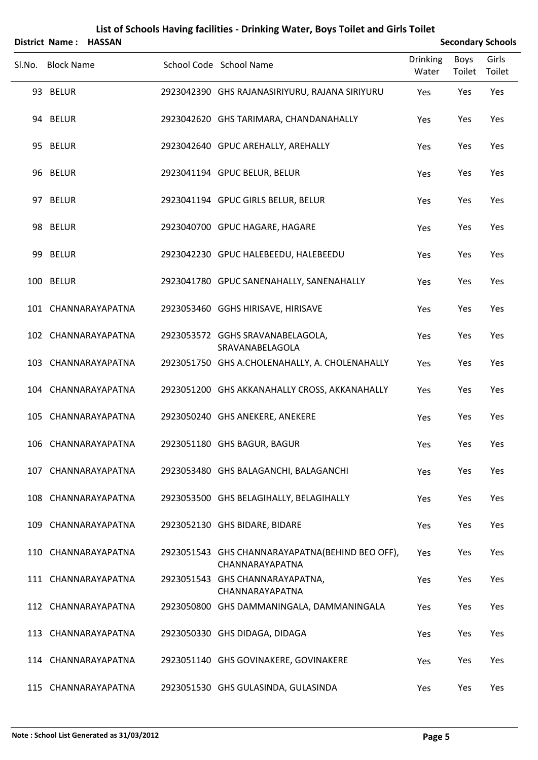|        | District Name: HASSAN |  | <b>Secondary Schools</b>                                            |                          |                |                 |
|--------|-----------------------|--|---------------------------------------------------------------------|--------------------------|----------------|-----------------|
| Sl.No. | <b>Block Name</b>     |  | School Code School Name                                             | <b>Drinking</b><br>Water | Boys<br>Toilet | Girls<br>Toilet |
|        | 93 BELUR              |  | 2923042390 GHS RAJANASIRIYURU, RAJANA SIRIYURU                      | Yes                      | Yes            | Yes             |
|        | 94 BELUR              |  | 2923042620 GHS TARIMARA, CHANDANAHALLY                              | Yes                      | Yes            | Yes             |
|        | 95 BELUR              |  | 2923042640 GPUC AREHALLY, AREHALLY                                  | Yes                      | Yes            | Yes             |
|        | 96 BELUR              |  | 2923041194 GPUC BELUR, BELUR                                        | Yes                      | Yes            | Yes             |
|        | 97 BELUR              |  | 2923041194 GPUC GIRLS BELUR, BELUR                                  | Yes                      | Yes            | Yes             |
|        | 98 BELUR              |  | 2923040700 GPUC HAGARE, HAGARE                                      | Yes                      | Yes            | Yes             |
|        | 99 BELUR              |  | 2923042230 GPUC HALEBEEDU, HALEBEEDU                                | Yes                      | Yes            | Yes             |
|        | 100 BELUR             |  | 2923041780 GPUC SANENAHALLY, SANENAHALLY                            | Yes                      | Yes            | Yes             |
|        | 101 CHANNARAYAPATNA   |  | 2923053460 GGHS HIRISAVE, HIRISAVE                                  | Yes                      | Yes            | Yes             |
|        | 102 CHANNARAYAPATNA   |  | 2923053572 GGHS SRAVANABELAGOLA,<br>SRAVANABELAGOLA                 | Yes                      | Yes            | Yes             |
|        | 103 CHANNARAYAPATNA   |  | 2923051750 GHS A.CHOLENAHALLY, A. CHOLENAHALLY                      | Yes                      | Yes            | Yes             |
|        | 104 CHANNARAYAPATNA   |  | 2923051200 GHS AKKANAHALLY CROSS, AKKANAHALLY                       | Yes                      | Yes            | Yes             |
|        | 105 CHANNARAYAPATNA   |  | 2923050240 GHS ANEKERE, ANEKERE                                     | Yes                      | Yes            | Yes             |
|        | 106 CHANNARAYAPATNA   |  | 2923051180 GHS BAGUR, BAGUR                                         | Yes                      | Yes            | Yes             |
|        | 107 CHANNARAYAPATNA   |  | 2923053480 GHS BALAGANCHI, BALAGANCHI                               | Yes                      | Yes            | Yes             |
|        | 108 CHANNARAYAPATNA   |  | 2923053500 GHS BELAGIHALLY, BELAGIHALLY                             | Yes                      | Yes            | Yes             |
|        | 109 CHANNARAYAPATNA   |  | 2923052130 GHS BIDARE, BIDARE                                       | Yes                      | Yes            | Yes             |
|        | 110 CHANNARAYAPATNA   |  | 2923051543 GHS CHANNARAYAPATNA (BEHIND BEO OFF),<br>CHANNARAYAPATNA | Yes                      | Yes            | Yes             |
|        | 111 CHANNARAYAPATNA   |  | 2923051543 GHS CHANNARAYAPATNA,<br>CHANNARAYAPATNA                  | Yes                      | Yes            | Yes             |
|        | 112 CHANNARAYAPATNA   |  | 2923050800 GHS DAMMANINGALA, DAMMANINGALA                           | Yes                      | Yes            | Yes             |
|        | 113 CHANNARAYAPATNA   |  | 2923050330 GHS DIDAGA, DIDAGA                                       | Yes                      | Yes            | Yes             |
|        | 114 CHANNARAYAPATNA   |  | 2923051140 GHS GOVINAKERE, GOVINAKERE                               | Yes                      | Yes            | Yes             |
|        | 115 CHANNARAYAPATNA   |  | 2923051530 GHS GULASINDA, GULASINDA                                 | Yes                      | Yes            | Yes             |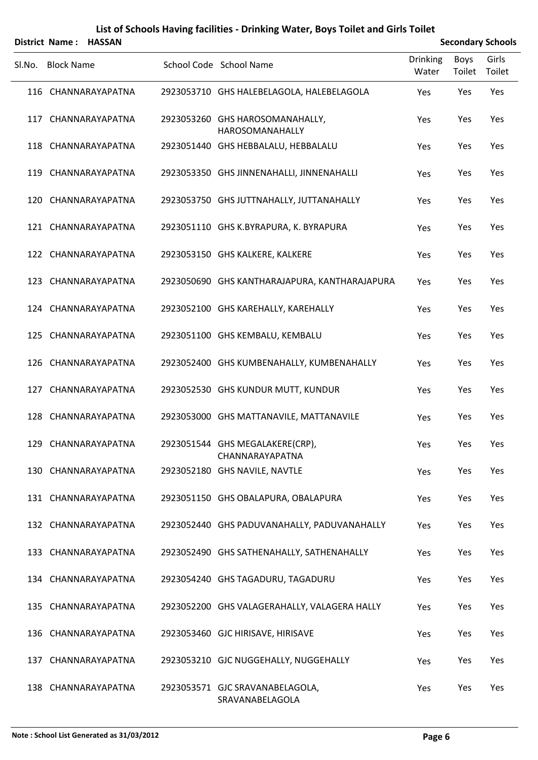|        | District Name: HASSAN |                                                    |                          | <b>Secondary Schools</b> |                 |  |  |
|--------|-----------------------|----------------------------------------------------|--------------------------|--------------------------|-----------------|--|--|
| Sl.No. | <b>Block Name</b>     | School Code School Name                            | <b>Drinking</b><br>Water | Boys<br>Toilet           | Girls<br>Toilet |  |  |
|        | 116 CHANNARAYAPATNA   | 2923053710 GHS HALEBELAGOLA, HALEBELAGOLA          | Yes                      | Yes                      | Yes             |  |  |
|        | 117 CHANNARAYAPATNA   | 2923053260 GHS HAROSOMANAHALLY,<br>HAROSOMANAHALLY | Yes                      | Yes                      | Yes             |  |  |
|        | 118 CHANNARAYAPATNA   | 2923051440 GHS HEBBALALU, HEBBALALU                | Yes                      | Yes                      | Yes             |  |  |
|        | 119 CHANNARAYAPATNA   | 2923053350 GHS JINNENAHALLI, JINNENAHALLI          | Yes                      | Yes                      | Yes             |  |  |
|        | 120 CHANNARAYAPATNA   | 2923053750 GHS JUTTNAHALLY, JUTTANAHALLY           | Yes                      | Yes                      | Yes             |  |  |
|        | 121 CHANNARAYAPATNA   | 2923051110 GHS K.BYRAPURA, K. BYRAPURA             | Yes                      | Yes                      | Yes             |  |  |
|        | 122 CHANNARAYAPATNA   | 2923053150 GHS KALKERE, KALKERE                    | Yes                      | Yes                      | Yes             |  |  |
|        | 123 CHANNARAYAPATNA   | 2923050690 GHS KANTHARAJAPURA, KANTHARAJAPURA      | Yes                      | Yes                      | Yes             |  |  |
|        | 124 CHANNARAYAPATNA   | 2923052100 GHS KAREHALLY, KAREHALLY                | Yes                      | Yes                      | Yes             |  |  |
|        | 125 CHANNARAYAPATNA   | 2923051100 GHS KEMBALU, KEMBALU                    | Yes                      | Yes                      | Yes             |  |  |
|        | 126 CHANNARAYAPATNA   | 2923052400 GHS KUMBENAHALLY, KUMBENAHALLY          | Yes                      | Yes                      | Yes             |  |  |
|        | 127 CHANNARAYAPATNA   | 2923052530 GHS KUNDUR MUTT, KUNDUR                 | Yes                      | Yes                      | Yes             |  |  |
|        | 128 CHANNARAYAPATNA   | 2923053000 GHS MATTANAVILE, MATTANAVILE            | Yes                      | Yes                      | Yes             |  |  |
|        | 129 CHANNARAYAPATNA   | 2923051544 GHS MEGALAKERE(CRP),<br>CHANNARAYAPATNA | Yes                      | Yes                      | Yes             |  |  |
|        | 130 CHANNARAYAPATNA   | 2923052180 GHS NAVILE, NAVTLE                      | Yes                      | Yes                      | Yes             |  |  |
|        | 131 CHANNARAYAPATNA   | 2923051150 GHS OBALAPURA, OBALAPURA                | Yes                      | Yes                      | Yes             |  |  |
|        | 132 CHANNARAYAPATNA   | 2923052440 GHS PADUVANAHALLY, PADUVANAHALLY        | Yes                      | Yes                      | Yes             |  |  |
|        | 133 CHANNARAYAPATNA   | 2923052490 GHS SATHENAHALLY, SATHENAHALLY          | Yes                      | Yes                      | Yes             |  |  |
|        | 134 CHANNARAYAPATNA   | 2923054240 GHS TAGADURU, TAGADURU                  | Yes                      | Yes                      | Yes             |  |  |
|        | 135 CHANNARAYAPATNA   | 2923052200 GHS VALAGERAHALLY, VALAGERA HALLY       | Yes                      | Yes                      | Yes             |  |  |
|        | 136 CHANNARAYAPATNA   | 2923053460 GJC HIRISAVE, HIRISAVE                  | Yes                      | Yes                      | Yes             |  |  |
|        | 137 CHANNARAYAPATNA   | 2923053210 GJC NUGGEHALLY, NUGGEHALLY              | Yes                      | Yes                      | Yes             |  |  |
|        | 138 CHANNARAYAPATNA   | 2923053571 GJC SRAVANABELAGOLA,<br>SRAVANABELAGOLA | Yes                      | Yes                      | Yes             |  |  |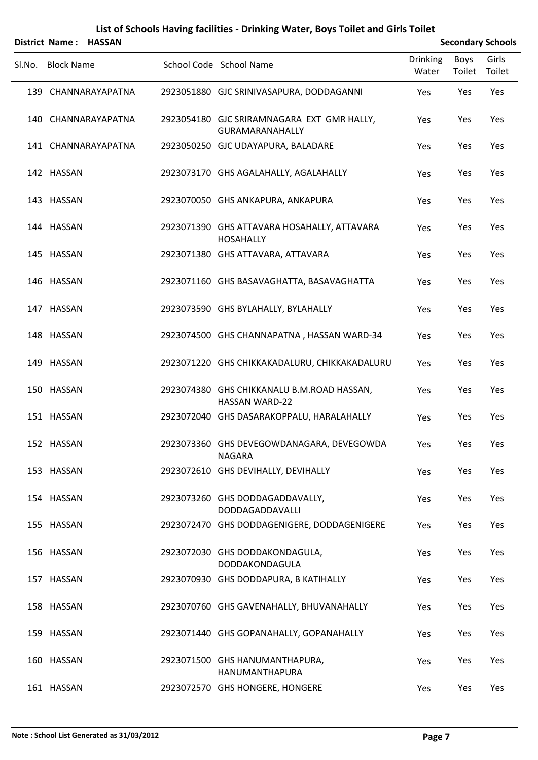|        | District Name: HASSAN |                                                                      | <b>Secondary Schools</b> |                       |                 |  |
|--------|-----------------------|----------------------------------------------------------------------|--------------------------|-----------------------|-----------------|--|
| SI.No. | <b>Block Name</b>     | School Code School Name                                              | <b>Drinking</b><br>Water | <b>Boys</b><br>Toilet | Girls<br>Toilet |  |
|        | 139 CHANNARAYAPATNA   | 2923051880 GJC SRINIVASAPURA, DODDAGANNI                             | Yes                      | Yes                   | Yes             |  |
|        | 140 CHANNARAYAPATNA   | 2923054180 GJC SRIRAMNAGARA EXT GMR HALLY,<br><b>GURAMARANAHALLY</b> | Yes                      | Yes                   | Yes             |  |
|        | 141 CHANNARAYAPATNA   | 2923050250 GJC UDAYAPURA, BALADARE                                   | Yes                      | Yes                   | Yes             |  |
|        | 142 HASSAN            | 2923073170 GHS AGALAHALLY, AGALAHALLY                                | Yes                      | Yes                   | Yes             |  |
|        | 143 HASSAN            | 2923070050 GHS ANKAPURA, ANKAPURA                                    | Yes                      | Yes                   | Yes             |  |
|        | 144 HASSAN            | 2923071390 GHS ATTAVARA HOSAHALLY, ATTAVARA<br><b>HOSAHALLY</b>      | Yes                      | Yes                   | Yes             |  |
|        | 145 HASSAN            | 2923071380 GHS ATTAVARA, ATTAVARA                                    | Yes                      | Yes                   | Yes             |  |
|        | 146 HASSAN            | 2923071160 GHS BASAVAGHATTA, BASAVAGHATTA                            | Yes                      | Yes                   | Yes             |  |
|        | 147 HASSAN            | 2923073590 GHS BYLAHALLY, BYLAHALLY                                  | Yes                      | Yes                   | Yes             |  |
|        | 148 HASSAN            | 2923074500 GHS CHANNAPATNA, HASSAN WARD-34                           | Yes                      | Yes                   | Yes             |  |
|        | 149 HASSAN            | 2923071220 GHS CHIKKAKADALURU, CHIKKAKADALURU                        | Yes                      | Yes                   | Yes             |  |
|        | 150 HASSAN            | 2923074380 GHS CHIKKANALU B.M.ROAD HASSAN,<br><b>HASSAN WARD-22</b>  | Yes                      | Yes                   | Yes             |  |
|        | 151 HASSAN            | 2923072040 GHS DASARAKOPPALU, HARALAHALLY                            | Yes                      | Yes                   | Yes             |  |
|        | 152 HASSAN            | 2923073360 GHS DEVEGOWDANAGARA, DEVEGOWDA<br><b>NAGARA</b>           | Yes                      | Yes                   | Yes             |  |
|        | 153 HASSAN            | 2923072610 GHS DEVIHALLY, DEVIHALLY                                  | Yes                      | Yes                   | Yes             |  |
|        | 154 HASSAN            | 2923073260 GHS DODDAGADDAVALLY,<br>DODDAGADDAVALLI                   | Yes                      | Yes                   | Yes             |  |
|        | 155 HASSAN            | 2923072470 GHS DODDAGENIGERE, DODDAGENIGERE                          | Yes                      | Yes                   | Yes             |  |
|        | 156 HASSAN            | 2923072030 GHS DODDAKONDAGULA,<br>DODDAKONDAGULA                     | Yes                      | Yes                   | Yes             |  |
|        | 157 HASSAN            | 2923070930 GHS DODDAPURA, B KATIHALLY                                | Yes                      | Yes                   | Yes             |  |
|        | 158 HASSAN            | 2923070760 GHS GAVENAHALLY, BHUVANAHALLY                             | Yes                      | Yes                   | Yes             |  |
|        | 159 HASSAN            | 2923071440 GHS GOPANAHALLY, GOPANAHALLY                              | Yes                      | Yes                   | Yes             |  |
|        | 160 HASSAN            | 2923071500 GHS HANUMANTHAPURA,<br>HANUMANTHAPURA                     | Yes                      | Yes                   | Yes             |  |
|        | 161 HASSAN            | 2923072570 GHS HONGERE, HONGERE                                      | Yes                      | Yes                   | Yes             |  |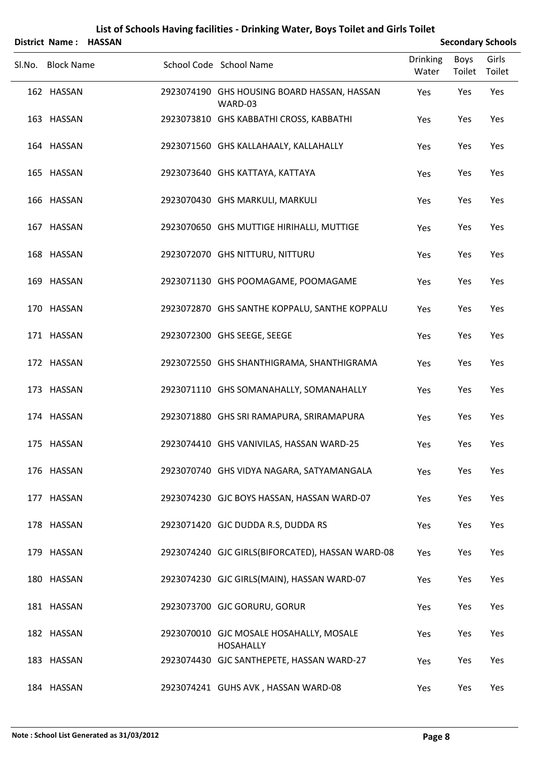|                   | District Name: HASSAN |                                                             | <b>Secondary Schools</b> |                |                 |
|-------------------|-----------------------|-------------------------------------------------------------|--------------------------|----------------|-----------------|
| Sl.No. Block Name |                       | School Code School Name                                     | <b>Drinking</b><br>Water | Boys<br>Toilet | Girls<br>Toilet |
| 162 HASSAN        |                       | 2923074190 GHS HOUSING BOARD HASSAN, HASSAN<br>WARD-03      | Yes                      | Yes            | Yes             |
| 163 HASSAN        |                       | 2923073810 GHS KABBATHI CROSS, KABBATHI                     | Yes                      | Yes            | Yes             |
| 164 HASSAN        |                       | 2923071560 GHS KALLAHAALY, KALLAHALLY                       | Yes                      | Yes            | Yes             |
| 165 HASSAN        |                       | 2923073640 GHS KATTAYA, KATTAYA                             | Yes                      | Yes            | Yes             |
| 166 HASSAN        |                       | 2923070430 GHS MARKULI, MARKULI                             | Yes                      | Yes            | Yes             |
| 167 HASSAN        |                       | 2923070650 GHS MUTTIGE HIRIHALLI, MUTTIGE                   | Yes                      | Yes            | Yes             |
| 168 HASSAN        |                       | 2923072070 GHS NITTURU, NITTURU                             | Yes                      | Yes            | Yes             |
| 169 HASSAN        |                       | 2923071130 GHS POOMAGAME, POOMAGAME                         | Yes                      | Yes            | Yes             |
| 170 HASSAN        |                       | 2923072870 GHS SANTHE KOPPALU, SANTHE KOPPALU               | Yes                      | Yes            | Yes             |
| 171 HASSAN        |                       | 2923072300 GHS SEEGE, SEEGE                                 | Yes                      | Yes            | Yes             |
| 172 HASSAN        |                       | 2923072550 GHS SHANTHIGRAMA, SHANTHIGRAMA                   | Yes                      | Yes            | Yes             |
| 173 HASSAN        |                       | 2923071110 GHS SOMANAHALLY, SOMANAHALLY                     | Yes                      | Yes            | Yes             |
| 174 HASSAN        |                       | 2923071880 GHS SRI RAMAPURA, SRIRAMAPURA                    | Yes                      | Yes            | Yes             |
| 175 HASSAN        |                       | 2923074410 GHS VANIVILAS, HASSAN WARD-25                    | Yes                      | Yes            | Yes             |
| 176 HASSAN        |                       | 2923070740 GHS VIDYA NAGARA, SATYAMANGALA                   | Yes                      | Yes            | Yes             |
| 177 HASSAN        |                       | 2923074230 GJC BOYS HASSAN, HASSAN WARD-07                  | Yes                      | Yes            | Yes             |
| 178 HASSAN        |                       | 2923071420 GJC DUDDA R.S, DUDDA RS                          | Yes                      | Yes            | Yes             |
| 179 HASSAN        |                       | 2923074240 GJC GIRLS(BIFORCATED), HASSAN WARD-08            | Yes                      | Yes            | Yes             |
| 180 HASSAN        |                       | 2923074230 GJC GIRLS(MAIN), HASSAN WARD-07                  | Yes                      | Yes            | Yes             |
| 181 HASSAN        |                       | 2923073700 GJC GORURU, GORUR                                | Yes                      | Yes            | Yes             |
| 182 HASSAN        |                       | 2923070010 GJC MOSALE HOSAHALLY, MOSALE<br><b>HOSAHALLY</b> | Yes                      | Yes            | Yes             |
| 183 HASSAN        |                       | 2923074430 GJC SANTHEPETE, HASSAN WARD-27                   | Yes                      | Yes            | Yes             |
| 184 HASSAN        |                       | 2923074241 GUHS AVK, HASSAN WARD-08                         | Yes                      | Yes            | Yes             |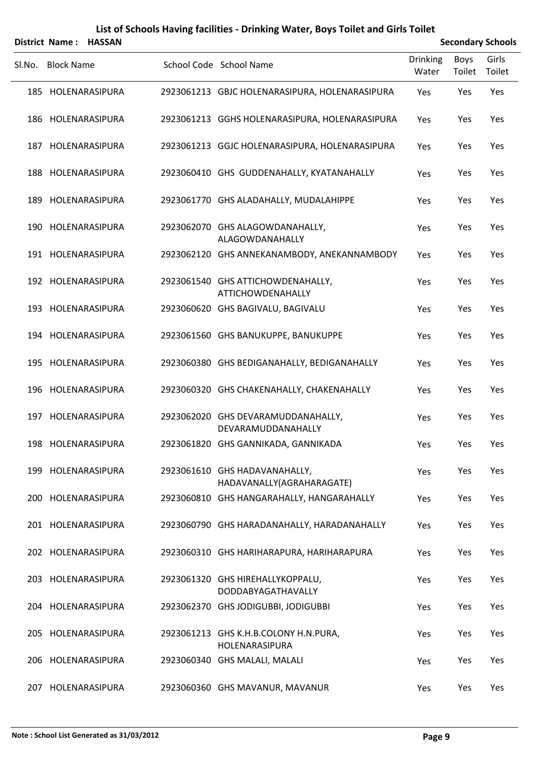|        | District Name: HASSAN |                                                            | <b>Secondary Schools</b> |                       |                 |  |
|--------|-----------------------|------------------------------------------------------------|--------------------------|-----------------------|-----------------|--|
| SI.No. | <b>Block Name</b>     | School Code School Name                                    | <b>Drinking</b><br>Water | <b>Boys</b><br>Toilet | Girls<br>Toilet |  |
|        | 185 HOLENARASIPURA    | 2923061213 GBJC HOLENARASIPURA, HOLENARASIPURA             | Yes                      | Yes                   | Yes             |  |
|        | 186 HOLENARASIPURA    | 2923061213 GGHS HOLENARASIPURA, HOLENARASIPURA             | Yes                      | Yes                   | Yes             |  |
|        | 187 HOLENARASIPURA    | 2923061213 GGJC HOLENARASIPURA, HOLENARASIPURA             | Yes                      | Yes                   | Yes             |  |
|        | 188 HOLENARASIPURA    | 2923060410 GHS GUDDENAHALLY, KYATANAHALLY                  | Yes                      | Yes                   | Yes             |  |
|        | 189 HOLENARASIPURA    | 2923061770 GHS ALADAHALLY, MUDALAHIPPE                     | Yes                      | Yes                   | Yes             |  |
|        | 190 HOLENARASIPURA    | 2923062070 GHS ALAGOWDANAHALLY,<br>ALAGOWDANAHALLY         | Yes                      | Yes                   | Yes             |  |
|        | 191 HOLENARASIPURA    | 2923062120 GHS ANNEKANAMBODY, ANEKANNAMBODY                | Yes                      | Yes                   | Yes             |  |
|        | 192 HOLENARASIPURA    | 2923061540 GHS ATTICHOWDENAHALLY,<br>ATTICHOWDENAHALLY     | Yes                      | Yes                   | Yes             |  |
|        | 193 HOLENARASIPURA    | 2923060620 GHS BAGIVALU, BAGIVALU                          | Yes                      | Yes                   | Yes             |  |
|        | 194 HOLENARASIPURA    | 2923061560 GHS BANUKUPPE, BANUKUPPE                        | Yes                      | Yes                   | Yes             |  |
|        | 195 HOLENARASIPURA    | 2923060380 GHS BEDIGANAHALLY, BEDIGANAHALLY                | Yes                      | Yes                   | Yes             |  |
|        | 196 HOLENARASIPURA    | 2923060320 GHS CHAKENAHALLY, CHAKENAHALLY                  | Yes                      | Yes                   | Yes             |  |
|        | 197 HOLENARASIPURA    | 2923062020 GHS DEVARAMUDDANAHALLY,<br>DEVARAMUDDANAHALLY   | Yes                      | Yes                   | Yes             |  |
|        | 198 HOLENARASIPURA    | 2923061820 GHS GANNIKADA, GANNIKADA                        | Yes                      | Yes                   | Yes             |  |
|        | 199 HOLENARASIPURA    | 2923061610 GHS HADAVANAHALLY,<br>HADAVANALLY(AGRAHARAGATE) | Yes                      | Yes                   | Yes             |  |
|        | 200 HOLENARASIPURA    | 2923060810 GHS HANGARAHALLY, HANGARAHALLY                  | Yes                      | Yes                   | Yes             |  |
|        | 201 HOLENARASIPURA    | 2923060790 GHS HARADANAHALLY, HARADANAHALLY                | Yes                      | Yes                   | Yes             |  |
|        | 202 HOLENARASIPURA    | 2923060310 GHS HARIHARAPURA, HARIHARAPURA                  | Yes                      | Yes                   | Yes             |  |
|        | 203 HOLENARASIPURA    | 2923061320 GHS HIREHALLYKOPPALU,<br>DODDABYAGATHAVALLY     | Yes                      | Yes                   | Yes             |  |
|        | 204 HOLENARASIPURA    | 2923062370 GHS JODIGUBBI, JODIGUBBI                        | Yes                      | Yes                   | Yes             |  |
|        | 205 HOLENARASIPURA    | 2923061213 GHS K.H.B.COLONY H.N.PURA,<br>HOLENARASIPURA    | Yes                      | Yes                   | Yes             |  |
|        | 206 HOLENARASIPURA    | 2923060340 GHS MALALI, MALALI                              | Yes                      | Yes                   | Yes             |  |
|        | 207 HOLENARASIPURA    | 2923060360 GHS MAVANUR, MAVANUR                            | Yes                      | Yes                   | Yes             |  |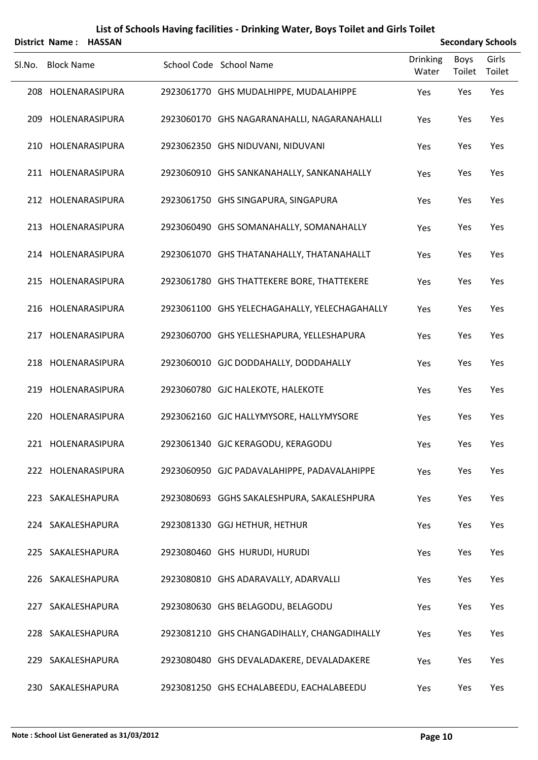|        | District Name: HASSAN |  | <b>Secondary Schools</b>                      |                          |                       |                 |
|--------|-----------------------|--|-----------------------------------------------|--------------------------|-----------------------|-----------------|
| Sl.No. | <b>Block Name</b>     |  | School Code School Name                       | <b>Drinking</b><br>Water | <b>Boys</b><br>Toilet | Girls<br>Toilet |
|        | 208 HOLENARASIPURA    |  | 2923061770 GHS MUDALHIPPE, MUDALAHIPPE        | Yes                      | Yes                   | Yes             |
|        | 209 HOLENARASIPURA    |  | 2923060170 GHS NAGARANAHALLI, NAGARANAHALLI   | Yes                      | Yes                   | Yes             |
|        | 210 HOLENARASIPURA    |  | 2923062350 GHS NIDUVANI, NIDUVANI             | Yes                      | Yes                   | Yes             |
|        | 211 HOLENARASIPURA    |  | 2923060910 GHS SANKANAHALLY, SANKANAHALLY     | Yes                      | Yes                   | Yes             |
|        | 212 HOLENARASIPURA    |  | 2923061750 GHS SINGAPURA, SINGAPURA           | Yes                      | Yes                   | Yes             |
|        | 213 HOLENARASIPURA    |  | 2923060490 GHS SOMANAHALLY, SOMANAHALLY       | Yes                      | Yes                   | Yes             |
|        | 214 HOLENARASIPURA    |  | 2923061070 GHS THATANAHALLY, THATANAHALLT     | Yes                      | Yes                   | Yes             |
|        | 215 HOLENARASIPURA    |  | 2923061780 GHS THATTEKERE BORE, THATTEKERE    | Yes                      | Yes                   | Yes             |
|        | 216 HOLENARASIPURA    |  | 2923061100 GHS YELECHAGAHALLY, YELECHAGAHALLY | Yes                      | Yes                   | Yes             |
|        | 217 HOLENARASIPURA    |  | 2923060700 GHS YELLESHAPURA, YELLESHAPURA     | Yes                      | Yes                   | Yes             |
|        | 218 HOLENARASIPURA    |  | 2923060010 GJC DODDAHALLY, DODDAHALLY         | Yes                      | Yes                   | Yes             |
|        | 219 HOLENARASIPURA    |  | 2923060780 GJC HALEKOTE, HALEKOTE             | Yes                      | Yes                   | Yes             |
|        | 220 HOLENARASIPURA    |  | 2923062160 GJC HALLYMYSORE, HALLYMYSORE       | Yes                      | Yes                   | Yes             |
|        | 221 HOLENARASIPURA    |  | 2923061340 GJC KERAGODU, KERAGODU             | Yes                      | Yes                   | Yes             |
|        | 222 HOLENARASIPURA    |  | 2923060950 GJC PADAVALAHIPPE, PADAVALAHIPPE   | Yes                      | Yes                   | Yes             |
|        | 223 SAKALESHAPURA     |  | 2923080693 GGHS SAKALESHPURA, SAKALESHPURA    | Yes                      | Yes                   | Yes             |
|        | 224 SAKALESHAPURA     |  | 2923081330 GGJ HETHUR, HETHUR                 | Yes                      | Yes                   | Yes             |
|        | 225 SAKALESHAPURA     |  | 2923080460 GHS HURUDI, HURUDI                 | Yes                      | Yes                   | Yes             |
|        | 226 SAKALESHAPURA     |  | 2923080810 GHS ADARAVALLY, ADARVALLI          | Yes                      | Yes                   | Yes             |
|        | 227 SAKALESHAPURA     |  | 2923080630 GHS BELAGODU, BELAGODU             | Yes                      | Yes                   | Yes             |
|        | 228 SAKALESHAPURA     |  | 2923081210 GHS CHANGADIHALLY, CHANGADIHALLY   | Yes                      | Yes                   | Yes             |
|        | 229 SAKALESHAPURA     |  | 2923080480 GHS DEVALADAKERE, DEVALADAKERE     | Yes                      | Yes                   | Yes             |
|        | 230 SAKALESHAPURA     |  | 2923081250 GHS ECHALABEEDU, EACHALABEEDU      | Yes                      | Yes                   | Yes             |